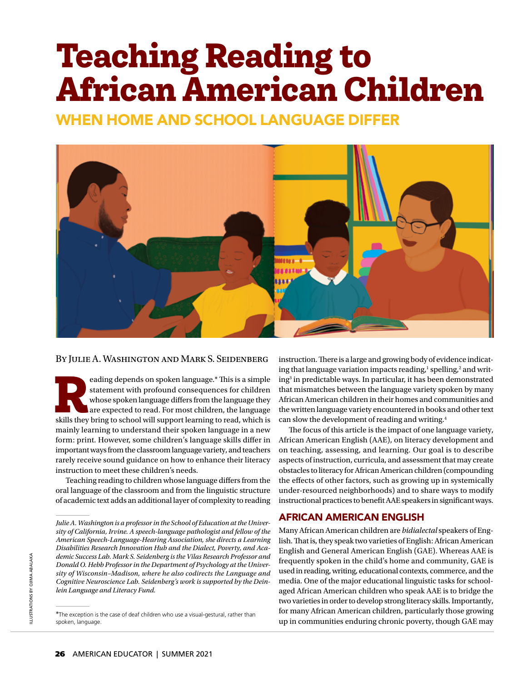# **Teaching Reading to African American Children**

WHEN HOME AND SCHOOL LANGUAGE DIFFER



#### By Julie A. Washington and Mark S. Seidenberg

reading depends on spoken language.\* This is a simple statement with profound consequences for children whose spoken language differs from the language they are expected to read. For most children, the language skills they statement with profound consequences for children whose spoken language differs from the language they are expected to read. For most children, the language mainly learning to understand their spoken language in a new form: print. However, some children's language skills differ in important ways from the classroom language variety, and teachers rarely receive sound guidance on how to enhance their literacy instruction to meet these children's needs.

Teaching reading to children whose language differs from the oral language of the classroom and from the linguistic structure of academic text adds an additional layer of complexity to reading instruction. There is a large and growing body of evidence indicating that language variation impacts reading,<sup>1</sup> spelling,<sup>2</sup> and writing3 in predictable ways. In particular, it has been demonstrated that mismatches between the language variety spoken by many African American children in their homes and communities and the written language variety encountered in books and other text can slow the development of reading and writing.4

The focus of this article is the impact of one language variety, African American English (AAE), on literacy development and on teaching, assessing, and learning. Our goal is to describe aspects of instruction, curricula, and assessment that may create obstacles to literacy for African American children (compounding the effects of other factors, such as growing up in systemically under-resourced neighborhoods) and to share ways to modify instructional practices to benefit AAE speakers in significant ways.

# AFRICAN AMERICAN ENGLISH

Many African American children are *bidialectal* speakers of English. That is, they speak two varieties of English: African American English and General American English (GAE). Whereas AAE is frequently spoken in the child's home and community, GAE is used in reading, writing, educational contexts, commerce, and the media. One of the major educational linguistic tasks for schoolaged African American children who speak AAE is to bridge the two varieties in order to develop strong literacy skills. Importantly, for many African American children, particularly those growing up in communities enduring chronic poverty, though GAE may

*Julie A. Washington is a professor in the School of Education at the University of California, Irvine. A speech-language pathologist and fellow of the American Speech-Language-Hearing Association, she directs a Learning Disabilities Research Innovation Hub and the Dialect, Poverty, and Academic Success Lab. Mark S. Seidenberg is the Vilas Research Professor and Donald O. Hebb Professor in the Department of Psychology at the University of Wisconsin–Madison, where he also codirects the Language and Cognitive Neuroscience Lab. Seidenberg's work is supported by the Deinlein Language and Literacy Fund.* 

<sup>\*</sup>The exception is the case of deaf children who use a visual-gestural, rather than spoken, language.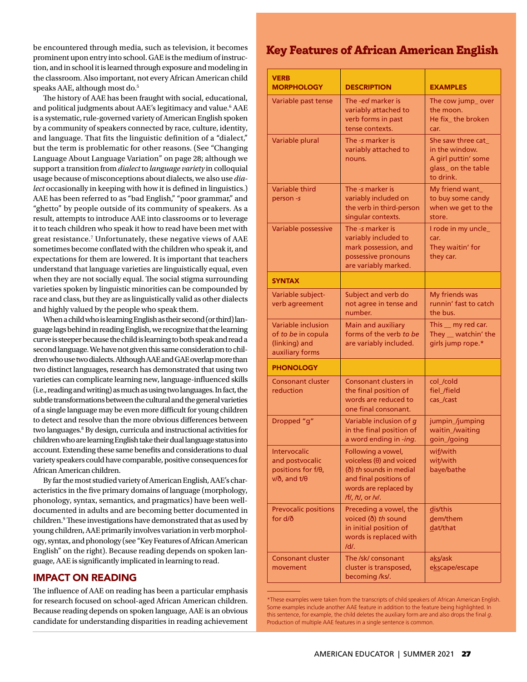be encountered through media, such as television, it becomes prominent upon entry into school. GAE is the medium of instruction, and in school it is learned through exposure and modeling in the classroom. Also important, not every African American child speaks AAE, although most do.<sup>5</sup>

The history of AAE has been fraught with social, educational, and political judgments about AAE's legitimacy and value.<sup>6</sup> AAE is a systematic, rule-governed variety of American English spoken by a community of speakers connected by race, culture, identity, and language. That fits the linguistic definition of a "dialect," but the term is problematic for other reasons. (See "Changing Language About Language Variation" on page 28; although we support a transition from *dialect* to *language variety* in colloquial usage because of misconceptions about dialects, we also use *dialect* occasionally in keeping with how it is defined in linguistics.) AAE has been referred to as "bad English," "poor grammar," and "ghetto" by people outside of its community of speakers. As a result, attempts to introduce AAE into classrooms or to leverage it to teach children who speak it how to read have been met with great resistance.7 Unfortunately, these negative views of AAE sometimes become conflated with the children who speak it, and expectations for them are lowered. It is important that teachers understand that language varieties are linguistically equal, even when they are not socially equal. The social stigma surrounding varieties spoken by linguistic minorities can be compounded by race and class, but they are as linguistically valid as other dialects and highly valued by the people who speak them.

When a child who is learning English as their second (or third) language lags behind in reading English, we recognize that the learning curve is steeper because the child is learning to both speak and read a second language. We have not given this same consideration to children who use two dialects. Although AAE and GAE overlap more than two distinct languages, research has demonstrated that using two varieties can complicate learning new, language-in4uenced skills (i.e., reading and writing) as much as using two languages. In fact, the subtle transformations between the cultural and the general varieties of a single language may be even more difficult for young children to detect and resolve than the more obvious differences between two languages.<sup>8</sup> By design, curricula and instructional activities for children who are learning English take their dual language status into account. Extending these same benefits and considerations to dual variety speakers could have comparable, positive consequences for African American children.

By far the most studied variety of American English, AAE's characteristics in the five primary domains of language (morphology, phonology, syntax, semantics, and pragmatics) have been welldocumented in adults and are becoming better documented in children.<sup>9</sup> These investigations have demonstrated that as used by young children, AAE primarily involves variation in verb morphology, syntax, and phonology (see "Key Features of African American English" on the right). Because reading depends on spoken language, AAE is significantly implicated in learning to read.

# IMPACT ON READING

The influence of AAE on reading has been a particular emphasis for research focused on school-aged African American children. Because reading depends on spoken language, AAE is an obvious candidate for understanding disparities in reading achievement

# **Key Features of African American English**

| <b>VERB</b><br><b>MORPHOLOGY</b>                                                              | <b>DESCRIPTION</b>                                                                                                                                       | <b>EXAMPLES</b>                                                                                |
|-----------------------------------------------------------------------------------------------|----------------------------------------------------------------------------------------------------------------------------------------------------------|------------------------------------------------------------------------------------------------|
| Variable past tense                                                                           | The -ed marker is<br>variably attached to<br>verb forms in past<br>tense contexts.                                                                       | The cow jump_over<br>the moon.<br>He fix_the broken<br>car.                                    |
| Variable plural                                                                               | The -s marker is<br>variably attached to<br>nouns.                                                                                                       | She saw three cat_<br>in the window.<br>A girl puttin' some<br>glass_on the table<br>to drink. |
| <b>Variable third</b><br>person-s                                                             | The -s marker is<br>variably included on<br>the verb in third-person<br>singular contexts.                                                               | My friend want_<br>to buy some candy<br>when we get to the<br>store.                           |
| Variable possessive                                                                           | The -s marker is<br>variably included to<br>mark possession, and<br>possessive pronouns<br>are variably marked.                                          | I rode in my uncle_<br>car.<br>They waitin' for<br>they car.                                   |
| <b>SYNTAX</b>                                                                                 |                                                                                                                                                          |                                                                                                |
| Variable subject-<br>verb agreement                                                           | Subject and verb do<br>not agree in tense and<br>number.                                                                                                 | My friends was<br>runnin' fast to catch<br>the bus.                                            |
| Variable inclusion<br>of to be in copula<br>(linking) and<br>auxiliary forms                  | <b>Main and auxiliary</b><br>forms of the verb to be<br>are variably included.                                                                           | This _ my red car.<br>They __ watchin' the<br>girls jump rope.*                                |
| <b>PHONOLOGY</b>                                                                              |                                                                                                                                                          |                                                                                                |
| <b>Consonant cluster</b><br>reduction                                                         | Consonant clusters in<br>the final position of<br>words are reduced to<br>one final consonant.                                                           | col_/cold<br>fiel_/field<br>cas /cast                                                          |
| Dropped "g"                                                                                   | Variable inclusion of g<br>in the final position of<br>a word ending in -ing.                                                                            | jumpin_/jumping<br>waitin_/waiting<br>goin_/going                                              |
| Intervocalic<br>and postvocalic<br>positions for f/ $\theta$ ,<br>$v/\delta$ , and $t/\theta$ | Following a vowel,<br>voiceless $(\theta)$ and voiced<br>(ð) th sounds in medial<br>and final positions of<br>words are replaced by<br>/f/, /t/, or /v/. | wif/with<br>wit/with<br>bave/bathe                                                             |
| <b>Prevocalic positions</b><br>for d/ð                                                        | Preceding a vowel, the<br>voiced (ð) th sound<br>in initial position of<br>words is replaced with<br>$/d/$ .                                             | dis/this<br>dem/them<br>dat/that                                                               |
| <b>Consonant cluster</b><br>movement                                                          | The /sk/ consonant<br>cluster is transposed,<br>becoming /ks/.                                                                                           | aks/ask<br>ekscape/escape                                                                      |

<sup>\*</sup>These examples were taken from the transcripts of child speakers of African American English. Some examples include another AAE feature in addition to the feature being highlighted. In this sentence, for example, the child deletes the auxiliary form *are* and also drops the final g. Production of multiple AAE features in a single sentence is common.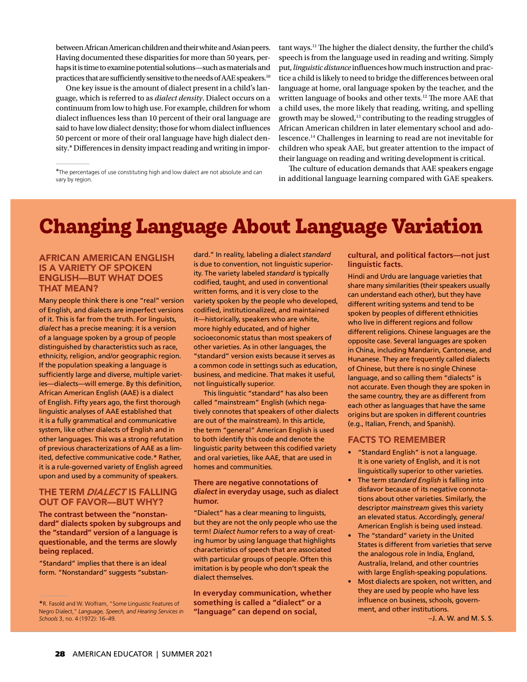between African American children and their white and Asian peers. Having documented these disparities for more than 50 years, perhaps it is time to examine potential solutions—such as materials and practices that are sufficiently sensitive to the needs of AAE speakers.<sup>10</sup>

One key issue is the amount of dialect present in a child's language, which is referred to as *dialect density*. Dialect occurs on a continuum from low to high use. For example, children for whom dialect influences less than 10 percent of their oral language are said to have low dialect density; those for whom dialect influences 50 percent or more of their oral language have high dialect density.\* Differences in density impact reading and writing in impor-

\*The percentages of use constituting high and low dialect are not absolute and can vary by region.

tant ways.<sup>11</sup> The higher the dialect density, the further the child's speech is from the language used in reading and writing. Simply put, *linguistic distance* influences how much instruction and practice a child is likely to need to bridge the differences between oral language at home, oral language spoken by the teacher, and the written language of books and other texts.<sup>12</sup> The more AAE that a child uses, the more likely that reading, writing, and spelling growth may be slowed,<sup>13</sup> contributing to the reading struggles of African American children in later elementary school and adolescence.14 Challenges in learning to read are not inevitable for children who speak AAE, but greater attention to the impact of their language on reading and writing development is critical.

The culture of education demands that AAE speakers engage in additional language learning compared with GAE speakers.

# **Changing Language About Language Variation**

#### AFRICAN AMERICAN ENGLISH IS A VARIETY OF SPOKEN ENGLISH—BUT WHAT DOES THAT MEAN?

Many people think there is one "real" version of English, and dialects are imperfect versions of it. This is far from the truth. For linguists, *dialect* has a precise meaning: it is a version of a language spoken by a group of people distinguished by characteristics such as race, ethnicity, religion, and/or geographic region. If the population speaking a language is sufficiently large and diverse, multiple varieties-dialects--will emerge. By this definition, African American English (AAE) is a dialect of English. Fifty years ago, the first thorough linguistic analyses of AAE established that it is a fully grammatical and communicative system, like other dialects of English and in other languages. This was a strong refutation of previous characterizations of AAE as a limited, defective communicative code.\* Rather, it is a rule-governed variety of English agreed upon and used by a community of speakers.

#### THE TERM DIALECT IS FALLING OUT OF FAVOR—BUT WHY?

**The contrast between the "nonstandard" dialects spoken by subgroups and the "standard" version of a language is questionable, and the terms are slowly being replaced.**

"Standard" implies that there is an ideal form. "Nonstandard" suggests "substandard." In reality, labeling a dialect *standard* is due to convention, not linguistic superiority. The variety labeled *standard* is typically codified, taught, and used in conventional written forms, and it is very close to the variety spoken by the people who developed, codified, institutionalized, and maintained it—historically, speakers who are white, more highly educated, and of higher socioeconomic status than most speakers of other varieties. As in other languages, the "standard" version exists because it serves as a common code in settings such as education, business, and medicine. That makes it useful, not linguistically superior.

This linguistic "standard" has also been called "mainstream" English (which negatively connotes that speakers of other dialects are out of the mainstream). In this article, the term "general" American English is used to both identify this code and denote the linguistic parity between this codified variety and oral varieties, like AAE, that are used in homes and communities.

#### **There are negative connotations of**  *dialect* **in everyday usage, such as dialect humor.**

"Dialect" has a clear meaning to linguists, but they are not the only people who use the term! *Dialect humor* refers to a way of creating humor by using language that highlights characteristics of speech that are associated with particular groups of people. Often this imitation is by people who don't speak the dialect themselves.

**In everyday communication, whether something is called a "dialect" or a "language" can depend on social,** 

**cultural, and political factors—not just linguistic facts.**

Hindi and Urdu are language varieties that share many similarities (their speakers usually can understand each other), but they have different writing systems and tend to be spoken by peoples of different ethnicities who live in different regions and follow different religions. Chinese languages are the opposite case. Several languages are spoken in China, including Mandarin, Cantonese, and Hunanese. They are frequently called dialects of Chinese, but there is no single Chinese language, and so calling them "dialects" is not accurate. Even though they are spoken in the same country, they are as different from each other as languages that have the same origins but are spoken in different countries (e.g., Italian, French, and Spanish).

#### FACTS TO REMEMBER

- "Standard English" is not a language. It is one variety of English, and it is not linguistically superior to other varieties.
- The term *standard English* is falling into disfavor because of its negative connotations about other varieties. Similarly, the descriptor *mainstream* gives this variety an elevated status. Accordingly, *general* American English is being used instead.
- The "standard" variety in the United States is different from varieties that serve the analogous role in India, England, Australia, Ireland, and other countries with large English-speaking populations.
- Most dialects are spoken, not written, and they are used by people who have less influence on business, schools, government, and other institutions.

–J. A. W. and M. S. S.

<sup>\*</sup>R. Fasold and W. Wolfram, "Some Linguistic Features of Negro Dialect," *Language, Speech, and Hearing Services in Schools* 3, no. 4 (1972): 16–49.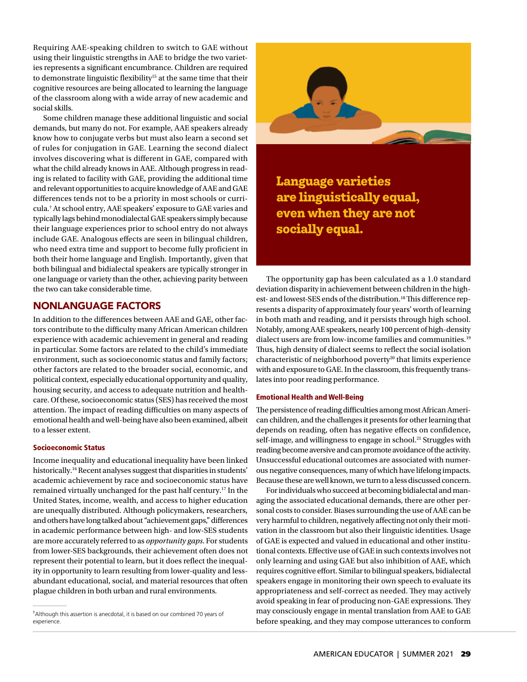Requiring AAE-speaking children to switch to GAE without using their linguistic strengths in AAE to bridge the two varieties represents a significant encumbrance. Children are required to demonstrate linguistic flexibility<sup>15</sup> at the same time that their cognitive resources are being allocated to learning the language of the classroom along with a wide array of new academic and social skills.

Some children manage these additional linguistic and social demands, but many do not. For example, AAE speakers already know how to conjugate verbs but must also learn a second set of rules for conjugation in GAE. Learning the second dialect involves discovering what is different in GAE, compared with what the child already knows in AAE. Although progress in reading is related to facility with GAE, providing the additional time and relevant opportunities to acquire knowledge of AAE and GAE differences tends not to be a priority in most schools or curricula.† At school entry, AAE speakers' exposure to GAE varies and typically lags behind monodialectal GAE speakers simply because their language experiences prior to school entry do not always include GAE. Analogous effects are seen in bilingual children, who need extra time and support to become fully proficient in both their home language and English. Importantly, given that both bilingual and bidialectal speakers are typically stronger in one language or variety than the other, achieving parity between the two can take considerable time.

# NONLANGUAGE FACTORS

In addition to the differences between AAE and GAE, other factors contribute to the difficulty many African American children experience with academic achievement in general and reading in particular. Some factors are related to the child's immediate environment, such as socioeconomic status and family factors; other factors are related to the broader social, economic, and political context, especially educational opportunity and quality, housing security, and access to adequate nutrition and healthcare. Of these, socioeconomic status (SES) has received the most attention. The impact of reading difficulties on many aspects of emotional health and well-being have also been examined, albeit to a lesser extent.

#### Socioeconomic Status

Income inequality and educational inequality have been linked historically.<sup>16</sup> Recent analyses suggest that disparities in students' academic achievement by race and socioeconomic status have remained virtually unchanged for the past half century.17 In the United States, income, wealth, and access to higher education are unequally distributed. Although policymakers, researchers, and others have long talked about "achievement gaps," differences in academic performance between high- and low-SES students are more accurately referred to as *opportunity gaps*. For students from lower-SES backgrounds, their achievement often does not represent their potential to learn, but it does reflect the inequality in opportunity to learn resulting from lower-quality and lessabundant educational, social, and material resources that often plague children in both urban and rural environments.



**Language varieties are linguistically equal, even when they are not socially equal.** 

The opportunity gap has been calculated as a 1.0 standard deviation disparity in achievement between children in the highest- and lowest-SES ends of the distribution.<sup>18</sup> This difference represents a disparity of approximately four years' worth of learning in both math and reading, and it persists through high school. Notably, among AAE speakers, nearly 100 percent of high-density dialect users are from low-income families and communities.<sup>19</sup> Thus, high density of dialect seems to reflect the social isolation characteristic of neighborhood poverty<sup>20</sup> that limits experience with and exposure to GAE. In the classroom, this frequently translates into poor reading performance.

#### Emotional Health and Well-Being

The persistence of reading difficulties among most African American children, and the challenges it presents for other learning that depends on reading, often has negative effects on confidence, self-image, and willingness to engage in school.<sup>21</sup> Struggles with reading become aversive and can promote avoidance of the activity. Unsuccessful educational outcomes are associated with numerous negative consequences, many of which have lifelong impacts. Because these are well known, we turn to a less discussed concern.

For individuals who succeed at becoming bidialectal and managing the associated educational demands, there are other personal costs to consider. Biases surrounding the use of AAE can be very harmful to children, negatively affecting not only their motivation in the classroom but also their linguistic identities. Usage of GAE is expected and valued in educational and other institutional contexts. Effective use of GAE in such contexts involves not only learning and using GAE but also inhibition of AAE, which requires cognitive effort. Similar to bilingual speakers, bidialectal speakers engage in monitoring their own speech to evaluate its appropriateness and self-correct as needed. They may actively avoid speaking in fear of producing non-GAE expressions. They may consciously engage in mental translation from AAE to GAE before speaking, and they may compose utterances to conform

<sup>†</sup> Although this assertion is anecdotal, it is based on our combined 70 years of experience.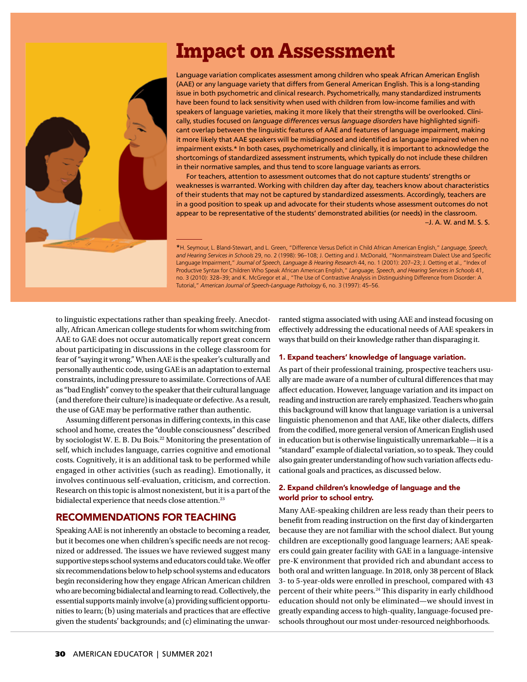# **Impact on Assessment**



Language variation complicates assessment among children who speak African American English (AAE) or any language variety that differs from General American English. This is a long-standing issue in both psychometric and clinical research. Psychometrically, many standardized instruments have been found to lack sensitivity when used with children from low-income families and with speakers of language varieties, making it more likely that their strengths will be overlooked. Clinically, studies focused on *language differences* versus *language disorders* have highlighted significant overlap between the linguistic features of AAE and features of language impairment, making it more likely that AAE speakers will be misdiagnosed and identified as language impaired when no impairment exists.\* In both cases, psychometrically and clinically, it is important to acknowledge the shortcomings of standardized assessment instruments, which typically do not include these children in their normative samples, and thus tend to score language variants as errors.

For teachers, attention to assessment outcomes that do not capture students' strengths or weaknesses is warranted. Working with children day after day, teachers know about characteristics of their students that may not be captured by standardized assessments. Accordingly, teachers are in a good position to speak up and advocate for their students whose assessment outcomes do not appear to be representative of the students' demonstrated abilities (or needs) in the classroom. –J. A. W. and M. S. S.

\*H. Seymour, L. Bland-Stewart, and L. Green, "Difference Versus Deficit in Child African American English," Language, Speech, and Hearing Services in Schools 29, no. 2 (1998): 96-108; J. Oetting and J. McDonald, "Nonmainstream Dialect Use and Specific Language Impairment," *Journal of Speech, Language & Hearing Research* 44, no. 1 (2001): 207–23; J. Oetting et al., "Index of Productive Syntax for Children Who Speak African American English," *Language, Speech, and Hearing Services in Schools* 41, no. 3 (2010): 328–39; and K. McGregor et al., "The Use of Contrastive Analysis in Distinguishing Difference from Disorder: A Tutorial," *American Journal of Speech-Language Pathology* 6, no. 3 (1997): 45–56.

to linguistic expectations rather than speaking freely. Anecdotally, African American college students for whom switching from AAE to GAE does not occur automatically report great concern about participating in discussions in the college classroom for fear of "saying it wrong." When AAE is the speaker's culturally and personally authentic code, using GAE is an adaptation to external constraints, including pressure to assimilate. Corrections of AAE as "bad English" convey to the speaker that their cultural language (and therefore their culture) is inadequate or defective. As a result, the use of GAE may be performative rather than authentic.

Assuming different personas in differing contexts, in this case school and home, creates the "double consciousness" described by sociologist W. E. B. Du Bois.<sup>22</sup> Monitoring the presentation of self, which includes language, carries cognitive and emotional costs. Cognitively, it is an additional task to be performed while engaged in other activities (such as reading). Emotionally, it involves continuous self-evaluation, criticism, and correction. Research on this topic is almost nonexistent, but it is a part of the bidialectal experience that needs close attention.<sup>23</sup>

### RECOMMENDATIONS FOR TEACHING

Speaking AAE is not inherently an obstacle to becoming a reader, but it becomes one when children's specific needs are not recognized or addressed. The issues we have reviewed suggest many supportive steps school systems and educators could take. We offer six recommendations below to help school systems and educators begin reconsidering how they engage African American children who are becoming bidialectal and learning to read. Collectively, the essential supports mainly involve (a) providing sufficient opportunities to learn; (b) using materials and practices that are effective given the students' backgrounds; and (c) eliminating the unwarranted stigma associated with using AAE and instead focusing on effectively addressing the educational needs of AAE speakers in ways that build on their knowledge rather than disparaging it.

#### 1. Expand teachers' knowledge of language variation.

As part of their professional training, prospective teachers usually are made aware of a number of cultural differences that may affect education. However, language variation and its impact on reading and instruction are rarely emphasized. Teachers who gain this background will know that language variation is a universal linguistic phenomenon and that AAE, like other dialects, differs from the codified, more general version of American English used in education but is otherwise linguistically unremarkable—it is a "standard" example of dialectal variation, so to speak. They could also gain greater understanding of how such variation affects educational goals and practices, as discussed below.

#### 2. Expand children's knowledge of language and the world prior to school entry.

Many AAE-speaking children are less ready than their peers to benefit from reading instruction on the first day of kindergarten because they are not familiar with the school dialect. But young children are exceptionally good language learners; AAE speakers could gain greater facility with GAE in a language-intensive pre-K environment that provided rich and abundant access to both oral and written language. In 2018, only 38 percent of Black 3- to 5-year-olds were enrolled in preschool, compared with 43 percent of their white peers.<sup>24</sup> This disparity in early childhood education should not only be eliminated—we should invest in greatly expanding access to high-quality, language-focused preschools throughout our most under-resourced neighborhoods.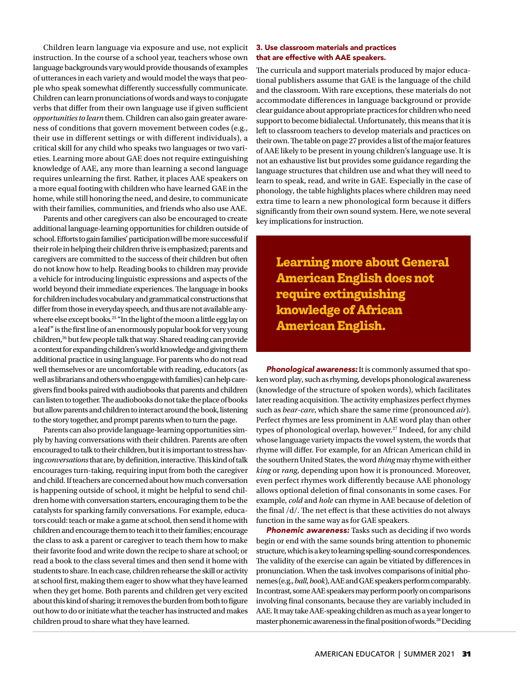Children learn language via exposure and use, not explicit instruction. In the course of a school year, teachers whose own language backgrounds vary would provide thousands of examples of utterances in each variety and would model the ways that people who speak somewhat differently successfully communicate. Children can learn pronunciations of words and ways to conjugate verbs that differ from their own language use if given sufficient *opportunities to learn* them. Children can also gain greater awareness of conditions that govern movement between codes (e.g., their use in different settings or with different individuals), a critical skill for any child who speaks two languages or two varieties. Learning more about GAE does not require extinguishing knowledge of AAE, any more than learning a second language requires unlearning the first. Rather, it places AAE speakers on a more equal footing with children who have learned GAE in the home, while still honoring the need, and desire, to communicate with their families, communities, and friends who also use AAE.

Parents and other caregivers can also be encouraged to create additional language-learning opportunities for children outside of school. Efforts to gain families' participation will be more successful if their role in helping their children thrive is emphasized; parents and caregivers are committed to the success of their children but often do not know how to help. Reading books to children may provide a vehicle for introducing linguistic expressions and aspects of the world beyond their immediate experiences. The language in books for children includes vocabulary and grammatical constructions that differ from those in everyday speech, and thus are not available anywhere else except books.<sup>25</sup> "In the light of the moon a little egg lay on a leaf" is the first line of an enormously popular book for very young children,<sup>26</sup> but few people talk that way. Shared reading can provide a context for expanding children's world knowledge and giving them additional practice in using language. For parents who do not read well themselves or are uncomfortable with reading, educators (as well as librarians and others who engage with families) can help caregivers find books paired with audiobooks that parents and children can listen to together. The audiobooks do not take the place of books but allow parents and children to interact around the book, listening to the story together, and prompt parents when to turn the page.

Parents can also provide language-learning opportunities simply by having conversations with their children. Parents are often encouraged to talk to their children, but it is important to stress having *conversations* that are, by definition, interactive. This kind of talk encourages turn-taking, requiring input from both the caregiver and child. If teachers are concerned about how much conversation is happening outside of school, it might be helpful to send children home with conversation starters, encouraging them to be the catalysts for sparking family conversations. For example, educators could: teach or make a game at school, then send it home with children and encourage them to teach it to their families; encourage the class to ask a parent or caregiver to teach them how to make their favorite food and write down the recipe to share at school; or read a book to the class several times and then send it home with students to share. In each case, children rehearse the skill or activity at school first, making them eager to show what they have learned when they get home. Both parents and children get very excited about this kind of sharing; it removes the burden from both to figure out how to do or initiate what the teacher has instructed and makes children proud to share what they have learned.

#### 3. Use classroom materials and practices that are effective with AAE speakers.

The curricula and support materials produced by major educational publishers assume that GAE is the language of the child and the classroom. With rare exceptions, these materials do not accommodate differences in language background or provide clear guidance about appropriate practices for children who need support to become bidialectal. Unfortunately, this means that it is left to classroom teachers to develop materials and practices on their own. The table on page 27 provides a list of the major features of AAE likely to be present in young children's language use. It is not an exhaustive list but provides some guidance regarding the language structures that children use and what they will need to learn to speak, read, and write in GAE. Especially in the case of phonology, the table highlights places where children may need extra time to learn a new phonological form because it differs significantly from their own sound system. Here, we note several key implications for instruction.

**Learning more about General American English does not require extinguishing knowledge of African American English.** 

Phonological awareness: It is commonly assumed that spoken word play, such as rhyming, develops phonological awareness (knowledge of the structure of spoken words), which facilitates later reading acquisition. The activity emphasizes perfect rhymes such as *bear*-*care*, which share the same rime (pronounced *air*). Perfect rhymes are less prominent in AAE word play than other types of phonological overlap, however.<sup>27</sup> Indeed, for any child whose language variety impacts the vowel system, the words that rhyme will differ. For example, for an African American child in the southern United States, the word *thing* may rhyme with either *king* or *rang*, depending upon how it is pronounced. Moreover, even perfect rhymes work differently because AAE phonology allows optional deletion of final consonants in some cases. For example, *cold* and *hole* can rhyme in AAE because of deletion of the final  $/d/$ . The net effect is that these activities do not always function in the same way as for GAE speakers.

Phonemic awareness: Tasks such as deciding if two words begin or end with the same sounds bring attention to phonemic structure, which is a key to learning spelling-sound correspondences. The validity of the exercise can again be vitiated by differences in pronunciation. When the task involves comparisons of initial phonemes (e.g., *ball*, *book*), AAE and GAE speakers perform comparably. In contrast, some AAE speakers may perform poorly on comparisons involving final consonants, because they are variably included in AAE. It may take AAE-speaking children as much as a year longer to master phonemic awareness in the final position of words.<sup>28</sup> Deciding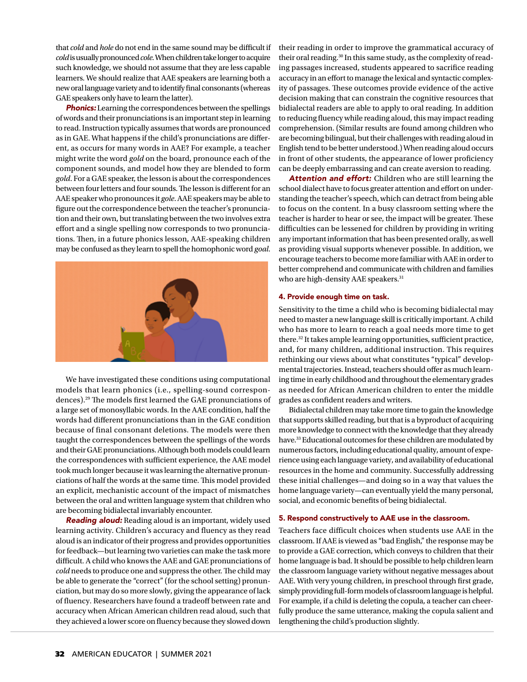that *cold* and *hole* do not end in the same sound may be difficult if *cold* is usually pronounced *cole*. When children take longer to acquire such knowledge, we should not assume that they are less capable learners. We should realize that AAE speakers are learning both a new oral language variety and to identify final consonants (whereas GAE speakers only have to learn the latter).

**Phonics:** Learning the correspondences between the spellings of words and their pronunciations is an important step in learning to read. Instruction typically assumes that words are pronounced as in GAE. What happens if the child's pronunciations are different, as occurs for many words in AAE? For example, a teacher might write the word *gold* on the board, pronounce each of the component sounds, and model how they are blended to form *gold*. For a GAE speaker, the lesson is about the correspondences between four letters and four sounds. The lesson is different for an AAE speaker who pronounces it *gole*. AAE speakers may be able to figure out the correspondence between the teacher's pronunciation and their own, but translating between the two involves extra effort and a single spelling now corresponds to two pronunciations. Then, in a future phonics lesson, AAE-speaking children may be confused as they learn to spell the homophonic word *goal*.



We have investigated these conditions using computational models that learn phonics (i.e., spelling-sound correspondences).<sup>29</sup> The models first learned the GAE pronunciations of a large set of monosyllabic words. In the AAE condition, half the words had different pronunciations than in the GAE condition because of final consonant deletions. The models were then taught the correspondences between the spellings of the words and their GAE pronunciations. Although both models could learn the correspondences with sufficient experience, the AAE model took much longer because it was learning the alternative pronunciations of half the words at the same time. This model provided an explicit, mechanistic account of the impact of mismatches between the oral and written language system that children who are becoming bidialectal invariably encounter.

Reading aloud: Reading aloud is an important, widely used learning activity. Children's accuracy and fluency as they read aloud is an indicator of their progress and provides opportunities for feedback—but learning two varieties can make the task more difficult. A child who knows the AAE and GAE pronunciations of *cold* needs to produce one and suppress the other. The child may be able to generate the "correct" (for the school setting) pronunciation, but may do so more slowly, giving the appearance of lack of fluency. Researchers have found a tradeoff between rate and accuracy when African American children read aloud, such that they achieved a lower score on fluency because they slowed down

their reading in order to improve the grammatical accuracy of their oral reading.<sup>30</sup> In this same study, as the complexity of reading passages increased, students appeared to sacrifice reading accuracy in an effort to manage the lexical and syntactic complexity of passages. These outcomes provide evidence of the active decision making that can constrain the cognitive resources that bidialectal readers are able to apply to oral reading. In addition to reducing fluency while reading aloud, this may impact reading comprehension. (Similar results are found among children who are becoming bilingual, but their challenges with reading aloud in English tend to be better understood.) When reading aloud occurs in front of other students, the appearance of lower proficiency can be deeply embarrassing and can create aversion to reading.

Attention and effort: Children who are still learning the school dialect have to focus greater attention and effort on understanding the teacher's speech, which can detract from being able to focus on the content. In a busy classroom setting where the teacher is harder to hear or see, the impact will be greater. These difficulties can be lessened for children by providing in writing any important information that has been presented orally, as well as providing visual supports whenever possible. In addition, we encourage teachers to become more familiar with AAE in order to better comprehend and communicate with children and families who are high-density AAE speakers.<sup>31</sup>

#### 4. Provide enough time on task.

Sensitivity to the time a child who is becoming bidialectal may need to master a new language skill is critically important. A child who has more to learn to reach a goal needs more time to get there.<sup>32</sup> It takes ample learning opportunities, sufficient practice, and, for many children, additional instruction. This requires rethinking our views about what constitutes "typical" developmental trajectories. Instead, teachers should offer as much learning time in early childhood and throughout the elementary grades as needed for African American children to enter the middle grades as confident readers and writers.

Bidialectal children may take more time to gain the knowledge that supports skilled reading, but that is a byproduct of acquiring more knowledge to connect with the knowledge that they already have.<sup>33</sup> Educational outcomes for these children are modulated by numerous factors, including educational quality, amount of experience using each language variety, and availability of educational resources in the home and community. Successfully addressing these initial challenges—and doing so in a way that values the home language variety—can eventually yield the many personal, social, and economic benefits of being bidialectal.

#### 5. Respond constructively to AAE use in the classroom.

Teachers face difficult choices when students use AAE in the classroom. If AAE is viewed as "bad English," the response may be to provide a GAE correction, which conveys to children that their home language is bad. It should be possible to help children learn the classroom language variety without negative messages about AAE. With very young children, in preschool through first grade, simply providing full-form models of classroom language is helpful. For example, if a child is deleting the copula, a teacher can cheerfully produce the same utterance, making the copula salient and lengthening the child's production slightly.